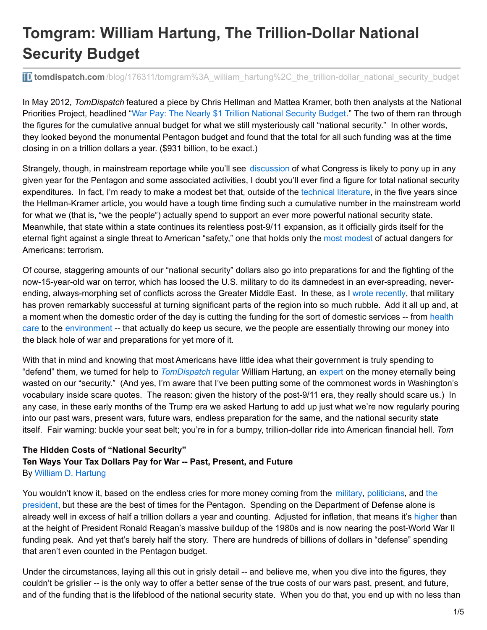# **Tomgram: William Hartung, The Trillion-Dollar National Security Budget**

**tomdispatch.com** [/blog/176311/tomgram%3A\\_william\\_hartung%2C\\_the\\_trillion-dollar\\_national\\_security\\_budget](http://www.tomdispatch.com/blog/176311/tomgram%253A_william_hartung%252C_the_trillion-dollar_national_security_budget)

In May 2012, *TomDispatch* featured a piece by Chris Hellman and Mattea Kramer, both then analysts at the National Priorities Project, headlined "War Pay: The Nearly \$1 Trillion [National](http://www.tomdispatch.com/post/175545) Security Budget." The two of them ran through the figures for the cumulative annual budget for what we still mysteriously call "national security." In other words, they looked beyond the monumental Pentagon budget and found that the total for all such funding was at the time closing in on a trillion dollars a year. (\$931 billion, to be exact.)

Strangely, though, in mainstream reportage while you'll see [discussion](https://www.nytimes.com/2017/07/18/us/politics/republican-budget-battle-health-care-congress.html) of what Congress is likely to pony up in any given year for the Pentagon and some associated activities, I doubt you'll ever find a figure for total national security expenditures. In fact, I'm ready to make a modest bet that, outside of the [technical](http://www.pogo.org/straus/issues/defense-budget/2016/americas-1-trillion-national-security-budget.html) literature, in the five years since the Hellman-Kramer article, you would have a tough time finding such a cumulative number in the mainstream world for what we (that is, "we the people") actually spend to support an ever more powerful national security state. Meanwhile, that state within a state continues its relentless post-9/11 expansion, as it officially girds itself for the eternal fight against a single threat to American "safety," one that holds only the most [modest](http://www.nbcnews.com/news/us-news/you-re-more-likely-die-choking-be-killed-foreign-terrorists-n715141) of actual dangers for Americans: terrorism.

Of course, staggering amounts of our "national security" dollars also go into preparations for and the fighting of the now-15-year-old war on terror, which has loosed the U.S. military to do its damnedest in an ever-spreading, neverending, always-morphing set of conflicts across the Greater Middle East. In these, as I wrote [recently](http://www.tomdispatch.com/post/176310/tomgram%3A_engelhardt%2C_bombing_the_rubble/), that military has proven remarkably successful at turning significant parts of the region into so much rubble. Add it all up and, at a moment when the domestic order of the day is cutting the funding for the sort of domestic services -- from health care to the [environment](http://www.huffingtonpost.com/entry/health-care-cbo-score_us_596fcd2ee4b0aa14ea76e487) -- that actually do keep us secure, we the people are essentially throwing our money into the black hole of war and preparations for yet more of it.

With that in mind and knowing that most Americans have little idea what their government is truly spending to "defend" them, we turned for help to *[TomDispatch](http://www.tomdispatch.com/post/176298/tomgram%3A_william_hartung%2C_trump%27s_love_affair_with_the_saudis/)* regular William Hartung, an [expert](http://www.tomdispatch.com/blog/176126/tomgram%3A_william_hartung,_what_a_waste,_the_u.s._military/) on the money eternally being wasted on our "security." (And yes, I'm aware that I've been putting some of the commonest words in Washington's vocabulary inside scare quotes. The reason: given the history of the post-9/11 era, they really should scare us.) In any case, in these early months of the Trump era we asked Hartung to add up just what we're now regularly pouring into our past wars, present wars, future wars, endless preparation for the same, and the national security state itself. Fair warning: buckle your seat belt; you're in for a bumpy, trillion-dollar ride into American financial hell. *Tom*

### **The Hidden Costs of "National Security" Ten Ways Your Tax Dollars Pay for War -- Past, Present, and Future** By William D. [Hartung](http://www.tomdispatch.com/authors/williamhartung)

You wouldn't know it, based on the endless cries for more money coming from the [military](http://breakingdefense.com/2017/06/us-will-lose-ability-to-project-power-in-5-years-if-hill-doesnt-act-cjcs/), [politicians](http://www.washingtontimes.com/news/2017/jun/28/mac-thornberry-looks-increase-pentagon-budget-640-/), and the president, but these are the best of times for the Pentagon. Spending on the [Department](https://www.nytimes.com/2017/03/16/us/politics/trump-budget-pentagon-defense-department.html?_r=0) of Defense alone is already well in excess of half a trillion dollars a year and counting. Adjusted for inflation, that means it's [higher](http://www.thirdway.org/report/the-presidents-2017-defense-budget) than at the height of President Ronald Reagan's massive buildup of the 1980s and is now nearing the post-World War II funding peak. And yet that's barely half the story. There are hundreds of billions of dollars in "defense" spending that aren't even counted in the Pentagon budget.

Under the circumstances, laying all this out in grisly detail -- and believe me, when you dive into the figures, they couldn't be grislier -- is the only way to offer a better sense of the true costs of our wars past, present, and future, and of the funding that is the lifeblood of the national security state. When you do that, you end up with no less than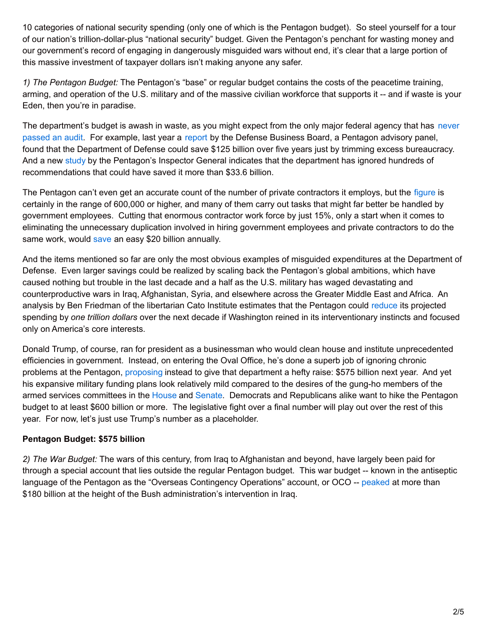10 categories of national security spending (only one of which is the Pentagon budget). So steel yourself for a tour of our nation's trillion-dollar-plus "national security" budget. Given the Pentagon's penchant for wasting money and our government's record of engaging in dangerously misguided wars without end, it's clear that a large portion of this massive investment of taxpayer dollars isn't making anyone any safer.

*1) The Pentagon Budget:* The Pentagon's "base" or regular budget contains the costs of the peacetime training, arming, and operation of the U.S. military and of the massive civilian workforce that supports it -- and if waste is your Eden, then you're in paradise.

The [department's](https://www.theguardian.com/commentisfree/2017/mar/20/pentagon-never-audited-astonishing-military-spending) budget is awash in waste, as you might expect from the only major federal agency that has never passed an audit. For example, last year a [report](https://www.washingtonpost.com/investigations/pentagon-buries-evidence-of-125-billion-in-bureaucratic-waste/2016/12/05/e0668c76-9af6-11e6-a0ed-ab0774c1eaa5_story.html?utm_term=.ca313ee75e1c) by the Defense Business Board, a Pentagon advisory panel, found that the Department of Defense could save \$125 billion over five years just by trimming excess bureaucracy. And a new [study](http://www.dodig.mil/IGInformation/archives/CompendiumReport_2017 Redacted Final version_Clean_ Redacted_a2.pdf) by the Pentagon's Inspector General indicates that the department has ignored hundreds of recommendations that could have saved it more than \$33.6 billion.

The Pentagon can't even get an accurate count of the number of private contractors it employs, but the [figure](https://www.usnews.com/opinion/blogs/world-report/2015/10/08/pentagon-needs-to-cut-shadow-contractor-work-force) is certainly in the range of 600,000 or higher, and many of them carry out tasks that might far better be handled by government employees. Cutting that enormous contractor work force by just 15%, only a start when it comes to eliminating the unnecessary duplication involved in hiring government employees and private contractors to do the same work, would [save](http://pogoblog.typepad.com/pogo/2012/01/nyt-misses-elephant-in-the-room-defense-service-contractors-.html) an easy \$20 billion annually.

And the items mentioned so far are only the most obvious examples of misguided expenditures at the Department of Defense. Even larger savings could be realized by scaling back the Pentagon's global ambitions, which have caused nothing but trouble in the last decade and a half as the U.S. military has waged devastating and counterproductive wars in Iraq, Afghanistan, Syria, and elsewhere across the Greater Middle East and Africa. An analysis by Ben Friedman of the libertarian Cato Institute estimates that the Pentagon could [reduce](https://warontherocks.com/2016/09/restrained-strategy-lower-military-budgets/) its projected spending by *one trillion dollars* over the next decade if Washington reined in its interventionary instincts and focused only on America's core interests.

Donald Trump, of course, ran for president as a businessman who would clean house and institute unprecedented efficiencies in government. Instead, on entering the Oval Office, he's done a superb job of ignoring chronic problems at the Pentagon, [proposing](http://comptroller.defense.gov/Portals/45/Documents/defbudget/fy2018/fy2018_Budget_Request.pdf) instead to give that department a hefty raise: \$575 billion next year. And yet his expansive military funding plans look relatively mild compared to the desires of the gung-ho members of the armed services committees in the [House](http://docs.house.gov/meetings/AS/AS00/20170628/106123/HMKP-115-AS00-20170628-SD001.pdf) and [Senate](https://www.armed-services.senate.gov/imo/media/doc/FY18 NDAA summary2.pdf). Democrats and Republicans alike want to hike the Pentagon budget to at least \$600 billion or more. The legislative fight over a final number will play out over the rest of this year. For now, let's just use Trump's number as a placeholder.

#### **Pentagon Budget: \$575 billion**

*2) The War Budget:* The wars of this century, from Iraq to Afghanistan and beyond, have largely been paid for through a special account that lies outside the regular Pentagon budget. This war budget -- known in the antiseptic language of the Pentagon as the "Overseas Contingency Operations" account, or OCO -- [peaked](https://fas.org/sgp/crs/natsec/RL33110.pdf) at more than \$180 billion at the height of the Bush administration's intervention in Iraq.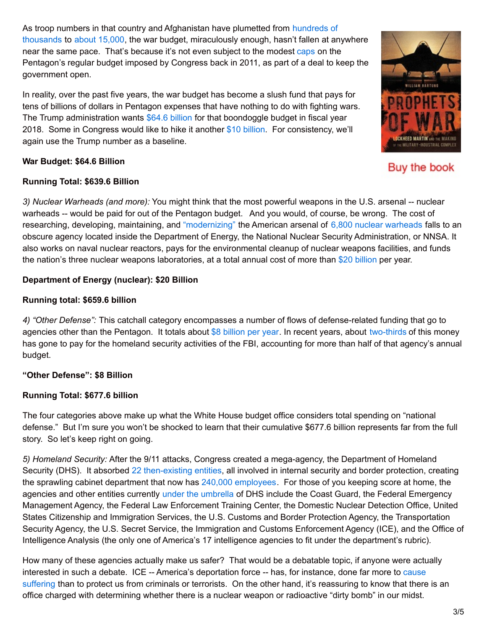As troop numbers in that country and [Afghanistan](https://fas.org/sgp/crs/natsec/RL33110.pdf) have plumetted from hundreds of thousands to about [15,000](http://www.tomdispatch.com/blog/176278/tomgram%3A_william_hartung%2C_ignoring_the_costs_of_war), the war budget, miraculously enough, hasn't fallen at anywhere near the same pace. That's because it's not even subject to the modest [caps](https://fas.org/sgp/crs/natsec/R44039.pdf) on the Pentagon's regular budget imposed by Congress back in 2011, as part of a deal to keep the government open.

In reality, over the past five years, the war budget has become a slush fund that pays for tens of billions of dollars in Pentagon expenses that have nothing to do with fighting wars. The Trump administration wants  $$64.6$  billion for that boondoggle budget in fiscal year 2018. Some in Congress would like to hike it another \$10 [billion](http://docs.house.gov/meetings/AS/AS00/20170628/106123/HMKP-115-AS00-20170628-SD001.pdf). For consistency, we'll again use the Trump number as a baseline.

#### **War Budget: \$64.6 Billion**

#### **Running Total: \$639.6 Billion**

*3) Nuclear Warheads (and more):* You might think that the most powerful weapons in the U.S. arsenal -- nuclear warheads -- would be paid for out of the Pentagon budget. And you would, of course, be wrong. The cost of researching, developing, maintaining, and ["modernizing"](http://www.nonproliferation.org/us-trillion-dollar-nuclear-triad/) the American arsenal of 6,800 nuclear [warheads](https://www.armscontrol.org/factsheets/Nuclearweaponswhohaswhat) falls to an obscure agency located inside the Department of Energy, the National Nuclear Security Administration, or NNSA. It also works on naval nuclear reactors, pays for the environmental cleanup of nuclear weapons facilities, and funds the nation's three nuclear weapons laboratories, at a total annual cost of more than \$20 [billion](https://armscontrolcenter.org/fy-2018-defense-budget-request-briefing-book/) per year.

#### **Department of Energy (nuclear): \$20 Billion**

#### **Running total: \$659.6 billion**

*4) "Other Defense":* This catchall category encompasses a number of flows of defense-related funding that go to agencies other than the Pentagon. It totals about \$8 [billion](https://defense360.csis.org/wp-content/uploads/2016/08/Analysis-of-the-FY-2017-Budget.pdf) per year. In recent years, about [two-thirds](https://defense360.csis.org/wp-content/uploads/2016/08/Analysis-of-the-FY-2017-Budget.pdf) of this money has gone to pay for the homeland security activities of the FBI, accounting for more than half of that agency's annual budget.

#### **"Other Defense": \$8 Billion**

#### **Running Total: \$677.6 billion**

The four categories above make up what the White House budget office considers total spending on "national defense." But I'm sure you won't be shocked to learn that their cumulative \$677.6 billion represents far from the full story. So let's keep right on going.

*5) Homeland Security:* After the 9/11 attacks, Congress created a mega-agency, the Department of Homeland Security (DHS). It absorbed 22 [then-existing](https://www.dhs.gov/history) entities, all involved in internal security and border protection, creating the sprawling cabinet department that now has 240,000 [employees](https://www.dhs.gov/about-dhs). For those of you keeping score at home, the agencies and other entities currently under the [umbrella](https://www.dhs.gov/operational-and-support-components) of DHS include the Coast Guard, the Federal Emergency Management Agency, the Federal Law Enforcement Training Center, the Domestic Nuclear Detection Office, United States Citizenship and Immigration Services, the U.S. Customs and Border Protection Agency, the Transportation Security Agency, the U.S. Secret Service, the Immigration and Customs Enforcement Agency (ICE), and the Office of Intelligence Analysis (the only one of America's 17 intelligence agencies to fit under the department's rubric).

How many of these agencies actually make us safer? That would be a debatable topic, if anyone were actually interested in such a debate. ICE -- America's [deportation](https://www.usatoday.com/story/news/world/2017/05/17/deportations-under-president-trump-undocumented-immigrants/101786264/) force -- has, for instance, done far more to cause suffering than to protect us from criminals or terrorists. On the other hand, it's reassuring to know that there is an office charged with determining whether there is a nuclear weapon or radioactive "dirty bomb" in our midst.



# Buy the book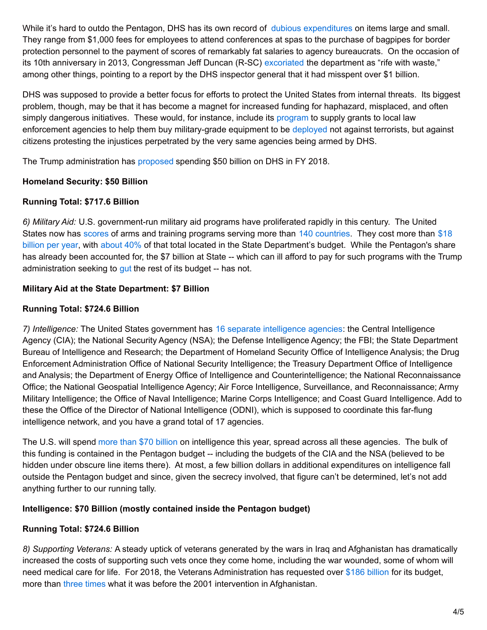While it's hard to outdo the Pentagon, DHS has its own record of dubious [expenditures](http://www.politico.com/story/2013/03/dhs-rife-with-wasteful-spending-088823) on items large and small. They range from \$1,000 fees for employees to attend conferences at spas to the purchase of bagpipes for border protection personnel to the payment of scores of remarkably fat salaries to agency bureaucrats. On the occasion of its 10th anniversary in 2013, Congressman Jeff Duncan (R-SC) [excoriated](http://www.politico.com/story/2013/03/dhs-rife-with-wasteful-spending-088823) the department as "rife with waste," among other things, pointing to a report by the DHS inspector general that it had misspent over \$1 billion.

DHS was supposed to provide a better focus for efforts to protect the United States from internal threats. Its biggest problem, though, may be that it has become a magnet for increased funding for haphazard, misplaced, and often simply dangerous initiatives. These would, for instance, include its [program](https://www.nij.gov/funding/Pages/equipment-funding.aspx) to supply grants to local law enforcement agencies to help them buy military-grade equipment to be [deployed](http://www.pbs.org/newshour/bb/military-equipment-hands-local-police/) not against terrorists, but against citizens protesting the injustices perpetrated by the very same agencies being armed by DHS.

The Trump administration has [proposed](https://www.dhs.gov/publication/fy-2018-budget-brief) spending \$50 billion on DHS in FY 2018.

#### **Homeland Security: \$50 Billion**

#### **Running Total: \$717.6 Billion**

*6) Military Aid:* U.S. government-run military aid programs have proliferated rapidly in this century. The United States now has [scores](http://www.politico.eu/article/the-pentagons-secret-foreign-aid-budget-foreign-policy-defense-military-spending-us-barack-obama/) of arms and training programs serving more than 140 [countries](http://securityassistance.org/content/security-aid-dashboard). They cost more than \$18 billion per year, with [about](http://securityassistance.org/content/security-aid-dashboard) 40% of that total located in the State [Department's](http://www.politico.eu/article/the-pentagons-secret-foreign-aid-budget-foreign-policy-defense-military-spending-us-barack-obama/) budget. While the Pentagon's share has already been accounted for, the \$7 billion at State -- which can ill afford to pay for such programs with the Trump administration seeking to [gut](http://www.reuters.com/article/us-usa-trump-budget-foreign-idUSKBN16M38I) the rest of its budget -- has not.

#### **Military Aid at the State Department: \$7 Billion**

#### **Running Total: \$724.6 Billion**

*7) Intelligence:* The United States government has 16 separate [intelligence](http://www.latimes.com/nation/la-na-17-intelligence-agencies-20170112-story.html) agencies: the Central Intelligence Agency (CIA); the National Security Agency (NSA); the Defense Intelligence Agency; the FBI; the State Department Bureau of Intelligence and Research; the Department of Homeland Security Office of Intelligence Analysis; the Drug Enforcement Administration Office of National Security Intelligence; the Treasury Department Office of Intelligence and Analysis; the Department of Energy Office of Intelligence and Counterintelligence; the National Reconnaissance Office; the National Geospatial Intelligence Agency; Air Force Intelligence, Surveillance, and Reconnaissance; Army Military Intelligence; the Office of Naval Intelligence; Marine Corps Intelligence; and Coast Guard Intelligence. Add to these the Office of the Director of National Intelligence (ODNI), which is supposed to coordinate this far-flung intelligence network, and you have a grand total of 17 agencies.

The U.S. will spend more than \$70 [billion](https://fas.org/irp/budget/) on intelligence this year, spread across all these agencies. The bulk of this funding is contained in the Pentagon budget -- including the budgets of the CIA and the NSA (believed to be hidden under obscure line items there). At most, a few billion dollars in additional expenditures on intelligence fall outside the Pentagon budget and since, given the secrecy involved, that figure can't be determined, let's not add anything further to our running tally.

#### **Intelligence: \$70 Billion (mostly contained inside the Pentagon budget)**

#### **Running Total: \$724.6 Billion**

*8) Supporting Veterans:* A steady uptick of veterans generated by the wars in Iraq and Afghanistan has dramatically increased the costs of supporting such vets once they come home, including the war wounded, some of whom will need medical care for life. For 2018, the Veterans Administration has requested over \$186 [billion](https://federalnewsradio.com/veterans-affairs/2017/05/trumps-2018-budget-gives-va-a-big-boost-for-choice-but-cuts-it-spending/) for its budget, more than three [times](http://democracyjournal.org/magazine/39/a-trust-fund-for-veterans/) what it was before the 2001 intervention in Afghanistan.